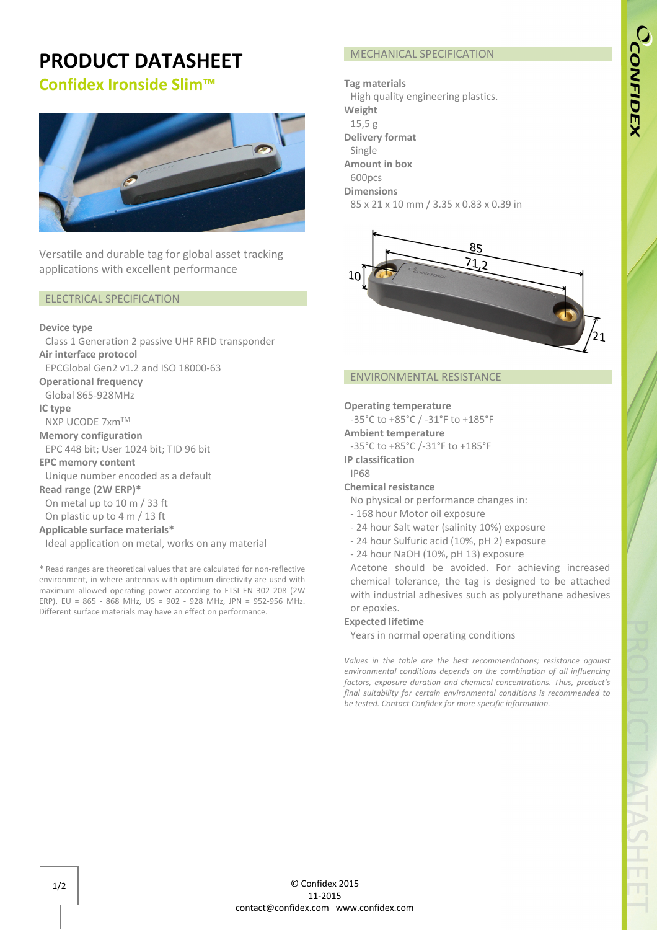# CCONFIDEX

## **PRODUCT DATASHEET**

### **Confidex Ironside Slim™**



Versatile and durable tag for global asset tracking applications with excellent performance

#### ELECTRICAL SPECIFICATION

#### **Device type**

Class 1 Generation 2 passive UHF RFID transponder

**Air interface protocol** 

EPCGlobal Gen2 v1.2 and ISO 18000-63

**Operational frequency** Global 865-928MHz

#### **IC type**

NXP UCODE 7xm™

**Memory configuration** 

EPC 448 bit; User 1024 bit; TID 96 bit

**EPC memory content**

Unique number encoded as a default

**Read range (2W ERP)\***

On metal up to 10 m / 33 ft

On plastic up to 4 m / 13 ft

#### **Applicable surface materials\***

Ideal application on metal, works on any material

\* Read ranges are theoretical values that are calculated for non-reflective environment, in where antennas with optimum directivity are used with maximum allowed operating power according to ETSI EN 302 208 (2W ERP). EU = 865 - 868 MHz, US = 902 - 928 MHz, JPN = 952-956 MHz. Different surface materials may have an effect on performance.

#### MECHANICAL SPECIFICATION

**Tag materials** High quality engineering plastics. **Weight** 15,5 g **Delivery format** Single **Amount in box** 600pcs **Dimensions**  85 x 21 x 10 mm / 3.35 x 0.83 x 0.39 in



#### ENVIRONMENTAL RESISTANCE

#### **Operating temperature**

-35°C to +85°C / -31°F to +185°F **Ambient temperature**

-35°C to +85°C /-31°F to +185°F

**IP classification** IP68

#### **Chemical resistance**

- No physical or performance changes in:
- 168 hour Motor oil exposure
- 24 hour Salt water (salinity 10%) exposure
- 24 hour Sulfuric acid (10%, pH 2) exposure
- 24 hour NaOH (10%, pH 13) exposure

Acetone should be avoided. For achieving increased chemical tolerance, the tag is designed to be attached with industrial adhesives such as polyurethane adhesives or epoxies.

#### **Expected lifetime**

Years in normal operating conditions

*Values in the table are the best recommendations; resistance against environmental conditions depends on the combination of all influencing factors, exposure duration and chemical concentrations. Thus, product's final suitability for certain environmental conditions is recommended to be tested. Contact Confidex for more specific information.*